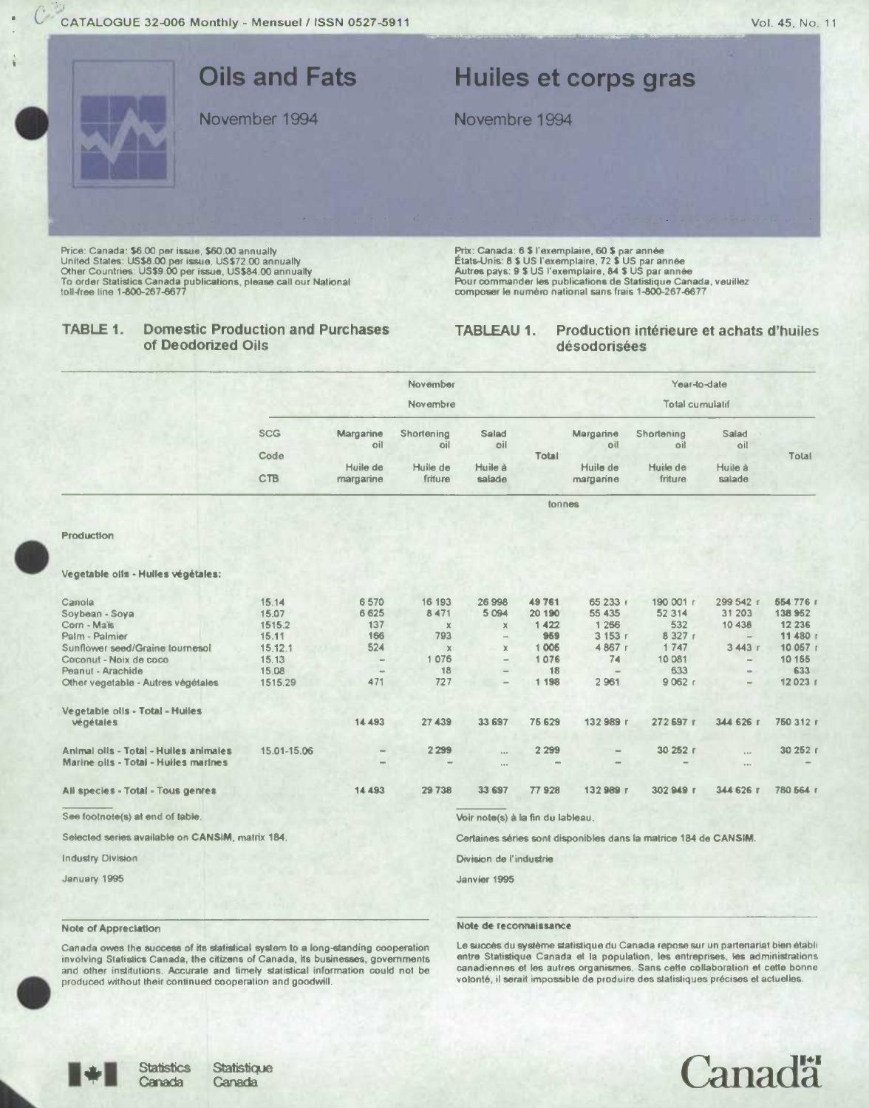

Price: Canada: \$6.00 per issue, \$60.00 annually<br>United States: US\$8.00 per issue, US\$72.00 annually<br>Other Countries: US\$9.00 per issue, US\$84.00 annually<br>Other Countries: US\$9.00 per issue, US\$84.00 annually<br>To order Stati

## Prix: Canada: 6 \$ l'exemplaire, 60 \$ par année<br>États-Unis: 8 \$ US l'exemplaire, 72 \$ US par année<br>Autres pays: 9 \$ US l'exemplaire, 84 \$ US par année<br>Pour commander les publications de Statistique Canada, veuillez composer le numéro national sans frais 1-800-267-6677

### TABLE 1. **Domestic Production and Purchases** of Deodorized Oils

### Production intérieure et achats d'huiles **TABLEAU 1.** désodorisées

|                                                                               | November<br>Novembre |                  |                   |                                      |             | Year-to-date<br><b>Total cumulatif</b> |                                                                  |                      |                     |  |
|-------------------------------------------------------------------------------|----------------------|------------------|-------------------|--------------------------------------|-------------|----------------------------------------|------------------------------------------------------------------|----------------------|---------------------|--|
|                                                                               |                      |                  |                   |                                      |             |                                        |                                                                  |                      |                     |  |
|                                                                               | <b>SCG</b>           | Margarine<br>oil | Shortening<br>lio | Salad<br>oil                         |             | Margarine<br>oil                       | Shortening<br>oil                                                | Salad<br>oil         |                     |  |
|                                                                               | Code                 | Huile de         | Huile de          | Huile à                              | Total       | Huile de                               | Huile de                                                         | Huile à              | Total               |  |
|                                                                               | <b>CTB</b>           | margarine        | friture           | salade                               |             | margarine                              | friture                                                          | salade               |                     |  |
|                                                                               |                      |                  |                   |                                      | tonnes      |                                        |                                                                  |                      |                     |  |
| <b>Production</b>                                                             |                      |                  |                   |                                      |             |                                        |                                                                  |                      |                     |  |
| Vegetable olls - Hulles végétales:                                            |                      |                  |                   |                                      |             |                                        |                                                                  |                      |                     |  |
| Canola                                                                        | 15.14                | 6570             | 16 193            | 26 998                               | 49761       | 65 233 г                               | 190 001 r                                                        | 299 542 r            | 654 776 r           |  |
| Soybean - Soya                                                                | 15.07                | 6625             | 8471              | 5 0 9 4                              | 20 190      | 55 435                                 | 52 314                                                           | 31 203               | 138 952             |  |
| Corn - Mais<br>Palm - Palmier                                                 | 1515.2<br>15.11      | 137<br>166       | $\times$<br>793   | $\chi$                               | 1422<br>959 | 1 2 6 6<br>3 153 г                     | 532<br>8 3 2 7 1                                                 | 10 438               | 12 23 6<br>11 480 г |  |
| Sunflower seed/Graine tournesol                                               | 15.12.1              | 524              | $\mathbf{x}$      | $\overline{\phantom{a}}$<br>$\times$ | 1 0 0 6     | 4867 r                                 | 1 747                                                            | 3443r                | 10 057 r            |  |
| Coconut - Noix de coco                                                        | 15.13                | -                | 1076              | $\overline{\phantom{a}}$             | 1076        | 74                                     | 10081                                                            |                      | 10 15 5             |  |
| Peanut - Arachide                                                             | 15.08                | $\rightarrow$    | 18                | $\sim$                               | 18          |                                        | 633                                                              |                      | 633                 |  |
| Other vegetable - Autres végétales                                            | 1515.29              | 471              | 727               | $\overline{\phantom{0}}$             | 1 1 9 8     | 2 9 61                                 | 9062r                                                            |                      | 12 023 г            |  |
| Vegetable olls - Total - Huiles                                               |                      |                  |                   |                                      |             |                                        |                                                                  |                      |                     |  |
| végétales                                                                     |                      | 14 493           | 27 439            | 33 697                               | 75 629      | 132989 г                               | 272 697 г                                                        | 344 626 г            | 750 312 r           |  |
| Antmal oils - Total - Huiles animales<br>Marine oils - Total - Huiles marines | 15.01-15.06          |                  | 2 2 9 9           | $\cdots$<br>$\mathbf{a}$             | 2 2 9 9     |                                        | 30 252 г                                                         | $\cdots$<br>$\cdots$ | 30 252 r            |  |
| Ali species - Total - Tous genres                                             |                      | 14 493           | 29 738            | 33 697                               | 77928       | 132989 г                               | 302949 г                                                         | 344 626 г            | 780 564 r           |  |
| See footnote(s) at end of table.                                              |                      |                  |                   | Voir note(s) à la fin du lableau.    |             |                                        |                                                                  |                      |                     |  |
| Selected series available on CANSIM, matrix 184.                              |                      |                  |                   |                                      |             |                                        | Certaines séries sont disponibles dans la matrice 184 de CANSIM. |                      |                     |  |
| <b>Industry Division</b>                                                      |                      |                  |                   | Division de l'industrie              |             |                                        |                                                                  |                      |                     |  |
| January 1995                                                                  |                      |                  |                   | Janvier 1995                         |             |                                        |                                                                  |                      |                     |  |

## **Note of Appreciation**

## Note de reconnaissance

Canada owes the success of its statistical system to a long-standing cooperation<br>involving Statistics Canada, the citizens of Canada, its businesses, governments and other institutions. Accurate and timely statistical information could not be produced without their continued cooperation and goodwill.

Le succès du système statistique du Canada repose sur un partenariat bien établi entre Statistique Canada et la population, les entreprises, les administrations canadiennes et les autres organismes. Sans cette collaboration et cette bonne volonté, il serait impossible de produire des statistiques précises et actuelles.



**Statistics** 

Canada

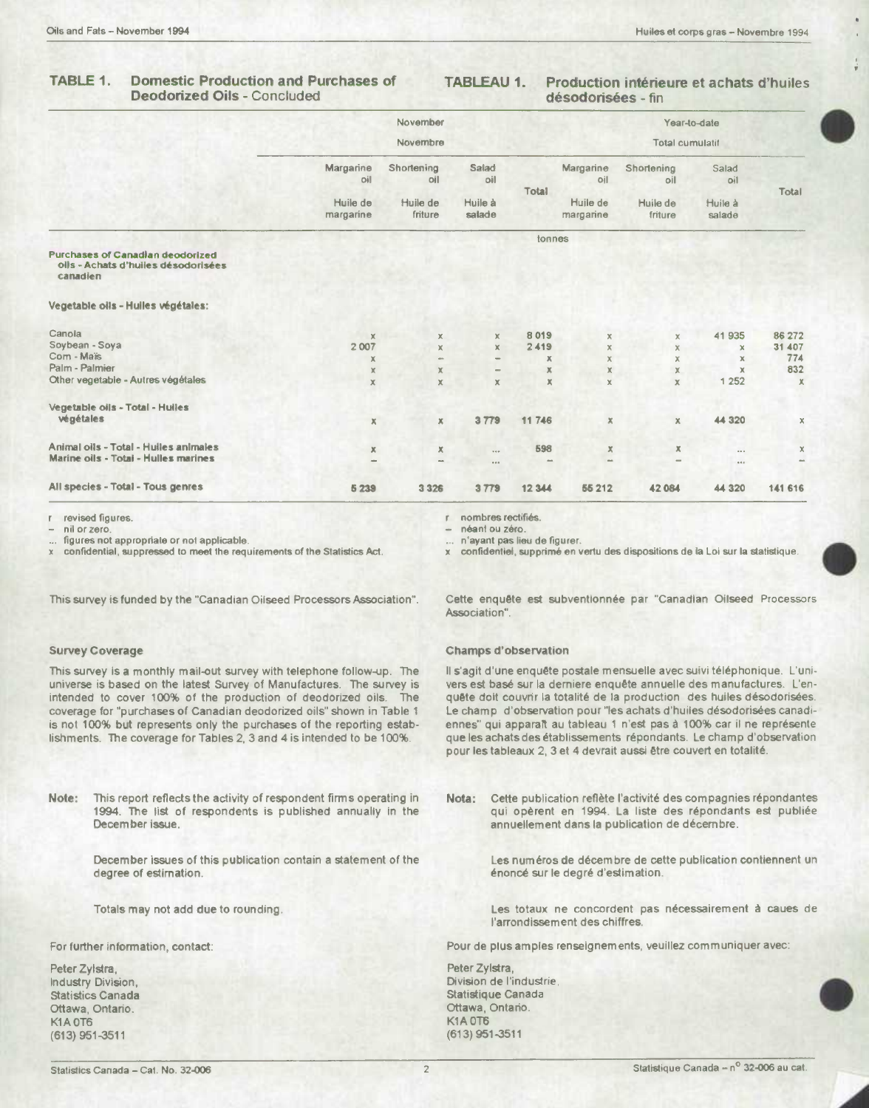## **TABLE** *1.* **Domestic Production and Purchases of TABLEAU 1. Production inténeure et achats d'huiles Deodorized Oils - Concluded**

|                                                                                            |                       | November            |                          |                           |                           |                     | Year-to-date      |             |  |
|--------------------------------------------------------------------------------------------|-----------------------|---------------------|--------------------------|---------------------------|---------------------------|---------------------|-------------------|-------------|--|
|                                                                                            | Novembre              |                     |                          |                           | <b>Total cumulatif</b>    |                     |                   |             |  |
|                                                                                            | Margarine<br>oil      | Shortening<br>oil   | Salad<br>oil             | <b>Total</b>              | Margarine<br>oil          | Shortening<br>oil   | Salad<br>oil      | Total       |  |
|                                                                                            | Huile de<br>margarine | Huile de<br>friture | Huile à<br>salade        |                           | Hujle de<br>margarine     | Huile de<br>friture | Huile à<br>salade |             |  |
|                                                                                            |                       |                     |                          | tonnes                    |                           |                     |                   |             |  |
| <b>Purchases of Canadian deodorized</b><br>oils - Achats d'huiles désodorisées<br>canadien |                       |                     |                          |                           |                           |                     |                   |             |  |
| Vegetable oils - Hulles végétales:                                                         |                       |                     |                          |                           |                           |                     |                   |             |  |
| Canola                                                                                     | $\mathbb{X}$          | $\mathbb X$         | x                        | 8019                      | $\mathsf{X}$              | X.                  | 41935             | 86 272      |  |
| Soybean - Soya                                                                             | 2 0 0 7               | $\mathbb X$         | X.                       | 2419                      | $\mathsf{x}$              | $\mathsf{X}$        | ×                 | 31 407      |  |
| Com - Maïs                                                                                 | х                     |                     |                          | $\boldsymbol{\mathsf{X}}$ | $\mathsf X$               | $\times$            | x                 | 774         |  |
| Palm - Palmier                                                                             | ×                     | x                   | $\overline{\phantom{0}}$ | $\mathbf x$               | $\mathbb X$               | $\times$            | $\mathbf x$       | 832         |  |
| Other vegetable - Autres végétales                                                         | $\mathbb X$           | $\mathbb X$         | $\mathbb X$              | ×                         | $\mathbb X$               | $\mathbf x$         | 1 2 5 2           | $\times$    |  |
| Vegetable oils - Total - Huiles                                                            |                       |                     |                          |                           |                           |                     |                   |             |  |
| végétales                                                                                  | ×                     | $\mathbb X$         | 3779                     | 11746                     | $\boldsymbol{\mathsf{X}}$ | $\times$            | 44 320            | $\mathbb X$ |  |
| Animal oils - Total - Huiles animales                                                      | ×                     | х                   | 140                      | 598                       | $\mathbb X$               | $\mathbf x$         | 0.0.0             | x           |  |
| Marine oils - Totai - Hulles marines                                                       |                       | $\sim$              | $\cdots$                 |                           | $\sim$                    |                     | 0.4.0             | $\sim$      |  |
| All species - Total - Tous genres                                                          | 5 2 3 9               | 3 3 2 6             | 3779                     | 12 344                    | 55 212                    | 42 084              | 44 3 20           | 141 616     |  |

revised figures.

nil or zero.

figures not appropriate or not applicable.

confidential, suppressed to meet the requirements of the Statistics Act.

r nombres rectiflés.

néant ou zéro.

n'ayant pas lieu de figurer.

x confidentiel, supprimé en vertu des dispositions de la Loi sur la statistique.

This survey is funded by the "Canadian Oilseed Processors Association".

## Survey Coverage

This survey is a monthly mail-out survey with telephone follow-up. The universe is based on the latest Survey of Manufactures. The survey is intended to cover 100% of the production of deodorized oils. The coverage for "purchases of Canadian deodorized oils" shown in Table 1 is not 100% but represents only the purchases of the reporting establishments. The coverage for Tables 2, 3 and 4 is intended to be 100%.

**Note:** This report reflects the activity of respondent firms operating in 1994. The list of respondents is published annually in the December issue.

> December issues of this publication contain a statement of the degree of estimation.

Totals may not add due to rounding.

For further information, contact:

Peter Zylstra, Industry Division, Statistics Canada Ottawa, Ontario. K<sub>1</sub>A 0T<sub>6</sub> (613) 951-3511

Cette enquête est subventionnée par "Canadian Oilseed Processors Association".

### Champs d'observation

Il s'agit d'une enquête postale mensuelle avec suivi téléphonique. L'univers est basé sur la derniere enquête annuelle des manufactures. L'enquête doit couvrir la totalité de la production des huiles désodorisées. Le champ d'observation pour "les achats d'huiles désodorisées canadiennes" qui apparalt au tableau 1 n'est pas à 100% car il ne représente que les achats des établissements répondants. Le champ d'observation pour les tableaux 2, 3 et 4 devrait aussi être couvert en totalité.

Nota: Cette publication reflète l'activité des compagnies répondantes qui opèrent en 1994. La liste des répondants est publiée annuellement dans Ia publication de décembre.

> Les numéros de décembre de cette publication contiennent un énoncé sur le degré d'estimation.

> Les totaux ne concordent pas nécessairement **a** caues de l'arrondissement des chiffres.

Pour de plus amples renseignements, veuillez communiquer avec:

Peter Zylstra, Division de l'industrie, Statistique Canada Ottawa, Ontario. **K1A 0T6** (613)951-3511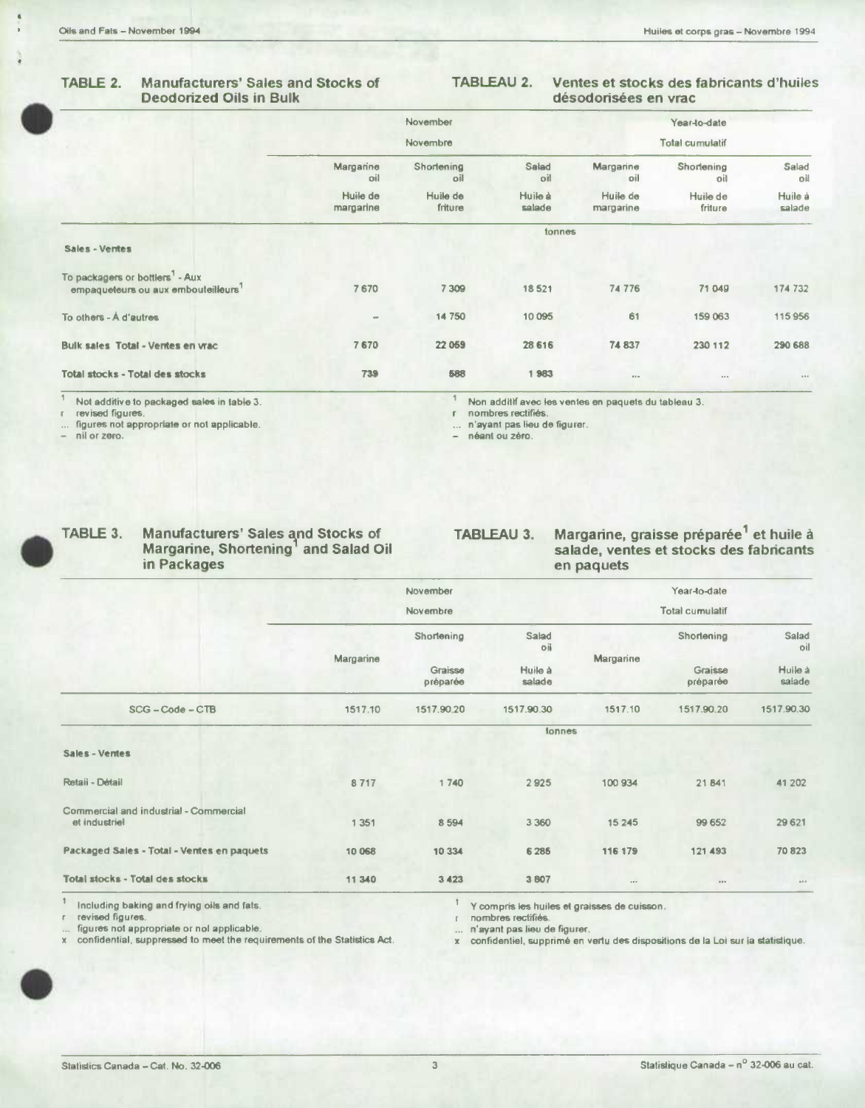# **Deodorized Oils in Bulk**

# **TABLE 2. Manufacturers' Sales and Stocks of TABLEAU 2. Ventes et stocks des fabncants d'huiles**

| TABLE 2.                                    | <b>Manufacturers' Sales and Stocks of</b><br><b>Deodorized Oils in Bulk</b> | <b>TABLEAU 2.</b>     |                     |                   | Ventes et stocks des fabricants d'huiles<br>désodorisées en vrac |                        |                   |  |
|---------------------------------------------|-----------------------------------------------------------------------------|-----------------------|---------------------|-------------------|------------------------------------------------------------------|------------------------|-------------------|--|
|                                             |                                                                             |                       | November            |                   |                                                                  | Year-to-date           |                   |  |
|                                             |                                                                             |                       | Novembre            |                   |                                                                  | <b>Total cumulatif</b> |                   |  |
|                                             |                                                                             | Margarine<br>oil      | Shortening<br>oil   | Salad<br>oil      | Margarine<br>oil                                                 | Shortening<br>oil      | Salad<br>oil      |  |
|                                             |                                                                             | Huile de<br>margarine | Huile de<br>friture | Huile à<br>salade | Huile de<br>margarine                                            | Huile de<br>friture    | Huile à<br>salade |  |
| Sales - Ventes                              |                                                                             |                       |                     | tonnes            |                                                                  |                        |                   |  |
| To packagers or bottlers <sup>1</sup> - Aux | empagueteurs ou aux embouteilleurs <sup>1</sup>                             | 7670                  | 7 309               | 18521             | 74 776                                                           | 71 049                 | 174 732           |  |
| To others - A d'autres                      |                                                                             | $\sim$                | 14 750              | 10 095            | 61                                                               | 159 063                | 115956            |  |
|                                             | <b>Bulk sales Total - Ventes en vrac</b>                                    | 7670                  | 22 0 69             | 28 616            | 74 837                                                           | 230 112                | 290 688           |  |
|                                             | <b>Total stocks - Total des stocks</b>                                      | 739                   | 588                 | 1983              | 5.5.9                                                            | 48.4                   | 0.5.7             |  |

Not additive to packaged sales in table 3. revised figures.

figures not appropriate or not applicable.

nil or zero.

Non additif avec les ventes en paquets du tableau 3.

nombres rectifiés.

n'ayant pas lieu de figurer. ...

- néant ou zéro.

| <b>TABL</b> |
|-------------|
|             |

**in Packages** 

**TABLE 3. Manufacturers' Sales and Stocks of TABLEAU 3. Margarine, graisse pr6par6e1 et huile a**  salade, ventes et stocks des fabricants en paquets

|                                                         |           | November<br>Novembre |                   |           | Year-to-date<br><b>Total cumulatif</b> |                   |
|---------------------------------------------------------|-----------|----------------------|-------------------|-----------|----------------------------------------|-------------------|
|                                                         |           | Shortening           | Salad<br>oii      |           | Shortening                             | Salad<br>oil      |
|                                                         | Margarine | Graisse<br>préparée  | Huile à<br>salade | Margarine | Graisse<br>préparée                    | Huile à<br>salade |
| $SCG - Code - CTB$                                      | 1517.10   | 1517.90.20           | 1517.90.30        | 1517.10   | 1517.90.20                             | 1517.90.30        |
|                                                         |           |                      | tonnes            |           |                                        |                   |
| Sales - Ventes                                          |           |                      |                   |           |                                        |                   |
| Retaii - Détail                                         | 8717      | 1740                 | 2925              | 100 934   | 21841                                  | 41 202            |
| Commercial and industrial - Commercial<br>et industriel | 1 3 5 1   | 8594                 | 3 3 6 0           | 15 245    | 99 652                                 | 29 6 21           |
| Packaged Sales - Total - Ventes en paquets              | 10 068    | 10 3 34              | 6 2 8 5           | 116 179   | 121 493                                | 70823             |
| <b>Total stocks - Total des stocks</b>                  | 11 340    | 3423                 | 3807              | 100       | 0.001                                  | 0.44              |

1 Including baking and frying oils and fats.  $\frac{1}{1}$  Y compris les huiles et graisses de cuisson.<br>The revised figures. The revised figures at a grain of the compris les huiles et grainses de cuisson.

r.

... figures not appropriate or not applicable.<br>x confidential, suppressed to meet the requirements of the Statistics Act.

nombres rectifiés.<br>n'ayant pas lieu de figurer.

x confidentiel, supprimé en vertu des dispositions de la Loi sur ia statistique.